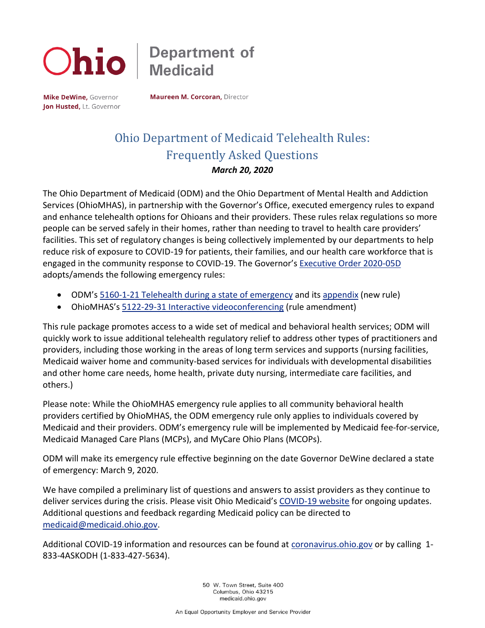

# Ohio | Department of

Mike DeWine, Governor Jon Husted, Lt. Governor **Maureen M. Corcoran, Director** 

# Ohio Department of Medicaid Telehealth Rules: Frequently Asked Questions *March 20, 2020*

The Ohio Department of Medicaid (ODM) and the Ohio Department of Mental Health and Addiction Services (OhioMHAS), in partnership with the Governor's Office, executed emergency rules to expand and enhance telehealth options for Ohioans and their providers. These rules relax regulations so more people can be served safely in their homes, rather than needing to travel to health care providers' facilities. This set of regulatory changes is being collectively implemented by our departments to help reduce risk of exposure to COVID-19 for patients, their families, and our health care workforce that is engaged in the community response to COVID-19. The Governor's [Executive Order](https://governor.ohio.gov/wps/portal/gov/governor/media/executive-orders/executive-order-2020-05d) 2020-05D adopts/amends the following emergency rules:

- ODM's [5160-1-21 Telehealth during a state of emergency](http://www.registerofohio.state.oh.us/pdfs/5160/0/1/5160-1-21_PH_EM_NE_RU_20200320_1032.pdf) and it[s appendix](http://www.registerofohio.state.oh.us/pdfs/5160/0/1/5160-1-21_PH_EM_NE_APP1_20200320_1032.pdf) (new rule)
- OhioMHAS's 5122-29-31 [Interactive videoconferencing](http://www.registerofohio.state.oh.us/rules/search/details/312399) (rule amendment)

This rule package promotes access to a wide set of medical and behavioral health services; ODM will quickly work to issue additional telehealth regulatory relief to address other types of practitioners and providers, including those working in the areas of long term services and supports (nursing facilities, Medicaid waiver home and community-based services for individuals with developmental disabilities and other home care needs, home health, private duty nursing, intermediate care facilities, and others.)

Please note: While the OhioMHAS emergency rule applies to all community behavioral health providers certified by OhioMHAS, the ODM emergency rule only applies to individuals covered by Medicaid and their providers. ODM's emergency rule will be implemented by Medicaid fee-for-service, Medicaid Managed Care Plans (MCPs), and MyCare Ohio Plans (MCOPs).

ODM will make its emergency rule effective beginning on the date Governor DeWine declared a state of emergency: March 9, 2020.

We have compiled a preliminary list of questions and answers to assist providers as they continue to deliver services during the crisis. Please visit Ohio Medicaid's [COVID-19 website](https://medicaid.ohio.gov/FOR-OHIOANS/COVID-19-Emergency-Actions) for ongoing updates. Additional questions and feedback regarding Medicaid policy can be directed to [medicaid@medicaid.ohio.gov.](mailto:medicaid@medicaid.ohio.gov)

Additional COVID-19 information and resources can be found at [coronavirus.ohio.gov](https://coronavirus.ohio.gov/wps/portal/gov/covid-19/) or by calling 1-833-4ASKODH (1-833-427-5634).

> 50 W. Town Street, Suite 400 Columbus, Ohio 43215 medicaid.ohio.gov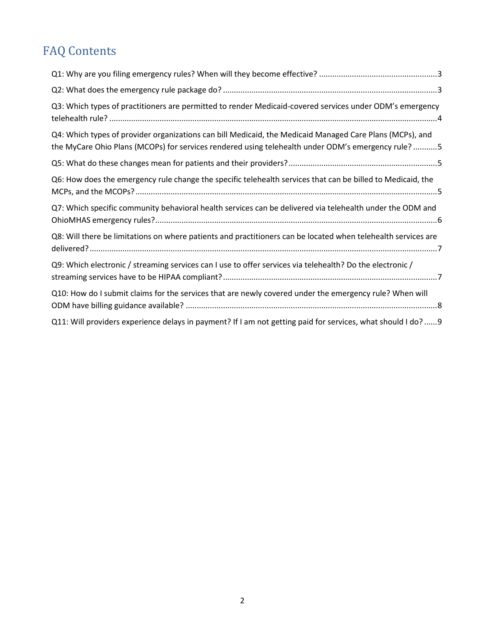# FAQ Contents

| Q3: Which types of practitioners are permitted to render Medicaid-covered services under ODM's emergency                                                                                                      |
|---------------------------------------------------------------------------------------------------------------------------------------------------------------------------------------------------------------|
| Q4: Which types of provider organizations can bill Medicaid, the Medicaid Managed Care Plans (MCPs), and<br>the MyCare Ohio Plans (MCOPs) for services rendered using telehealth under ODM's emergency rule?5 |
|                                                                                                                                                                                                               |
| Q6: How does the emergency rule change the specific telehealth services that can be billed to Medicaid, the                                                                                                   |
| Q7: Which specific community behavioral health services can be delivered via telehealth under the ODM and                                                                                                     |
| Q8: Will there be limitations on where patients and practitioners can be located when telehealth services are                                                                                                 |
| Q9: Which electronic / streaming services can I use to offer services via telehealth? Do the electronic /                                                                                                     |
| Q10: How do I submit claims for the services that are newly covered under the emergency rule? When will                                                                                                       |
| Q11: Will providers experience delays in payment? If I am not getting paid for services, what should I do?  9                                                                                                 |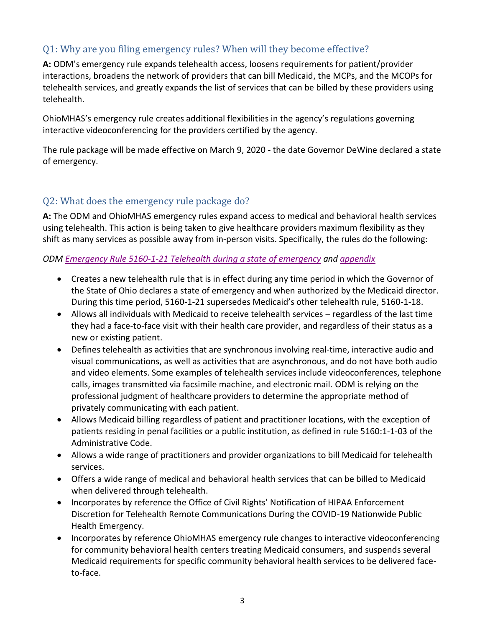## <span id="page-2-0"></span>Q1: Why are you filing emergency rules? When will they become effective?

**A:** ODM's emergency rule expands telehealth access, loosens requirements for patient/provider interactions, broadens the network of providers that can bill Medicaid, the MCPs, and the MCOPs for telehealth services, and greatly expands the list of services that can be billed by these providers using telehealth.

OhioMHAS's emergency rule creates additional flexibilities in the agency's regulations governing interactive videoconferencing for the providers certified by the agency.

The rule package will be made effective on March 9, 2020 - the date Governor DeWine declared a state of emergency.

#### <span id="page-2-1"></span>Q2: What does the emergency rule package do?

**A:** The ODM and OhioMHAS emergency rules expand access to medical and behavioral health services using telehealth. This action is being taken to give healthcare providers maximum flexibility as they shift as many services as possible away from in-person visits. Specifically, the rules do the following:

#### *ODM [Emergency Rule 5160-1-21 Telehealth during a state of emergency](http://www.registerofohio.state.oh.us/pdfs/5160/0/1/5160-1-21_PH_EM_NE_RU_20200320_1032.pdf) and [appendix](http://www.registerofohio.state.oh.us/pdfs/5160/0/1/5160-1-21_PH_EM_NE_APP1_20200320_1032.pdf)*

- Creates a new telehealth rule that is in effect during any time period in which the Governor of the State of Ohio declares a state of emergency and when authorized by the Medicaid director. During this time period, 5160-1-21 supersedes Medicaid's other telehealth rule, 5160-1-18.
- Allows all individuals with Medicaid to receive telehealth services regardless of the last time they had a face-to-face visit with their health care provider, and regardless of their status as a new or existing patient.
- Defines telehealth as activities that are synchronous involving real-time, interactive audio and visual communications, as well as activities that are asynchronous, and do not have both audio and video elements. Some examples of telehealth services include videoconferences, telephone calls, images transmitted via facsimile machine, and electronic mail. ODM is relying on the professional judgment of healthcare providers to determine the appropriate method of privately communicating with each patient.
- Allows Medicaid billing regardless of patient and practitioner locations, with the exception of patients residing in penal facilities or a public institution, as defined in rule 5160:1-1-03 of the Administrative Code.
- Allows a wide range of practitioners and provider organizations to bill Medicaid for telehealth services.
- Offers a wide range of medical and behavioral health services that can be billed to Medicaid when delivered through telehealth.
- Incorporates by reference the Office of Civil Rights' Notification of HIPAA Enforcement Discretion for Telehealth Remote Communications During the COVID-19 Nationwide Public Health Emergency.
- Incorporates by reference OhioMHAS emergency rule changes to interactive videoconferencing for community behavioral health centers treating Medicaid consumers, and suspends several Medicaid requirements for specific community behavioral health services to be delivered faceto-face.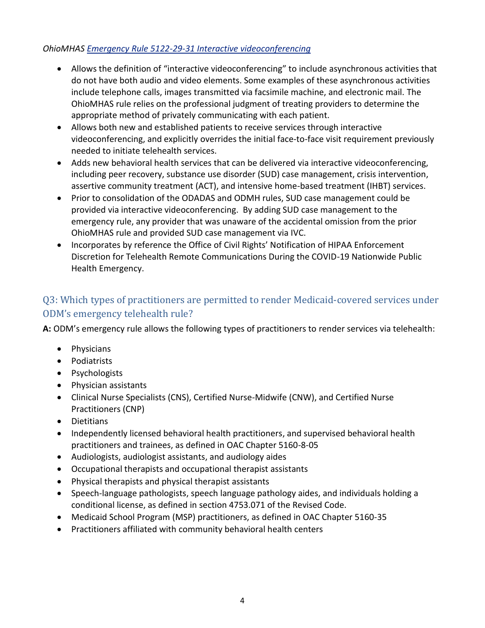#### *OhioMHAS [Emergency Rule 5122-29-31 Interactive videoconferencing](http://www.registerofohio.state.oh.us/rules/search/details/312399)*

- Allows the definition of "interactive videoconferencing" to include asynchronous activities that do not have both audio and video elements. Some examples of these asynchronous activities include telephone calls, images transmitted via facsimile machine, and electronic mail. The OhioMHAS rule relies on the professional judgment of treating providers to determine the appropriate method of privately communicating with each patient.
- Allows both new and established patients to receive services through interactive videoconferencing, and explicitly overrides the initial face-to-face visit requirement previously needed to initiate telehealth services.
- Adds new behavioral health services that can be delivered via interactive videoconferencing, including peer recovery, substance use disorder (SUD) case management, crisis intervention, assertive community treatment (ACT), and intensive home-based treatment (IHBT) services.
- Prior to consolidation of the ODADAS and ODMH rules, SUD case management could be provided via interactive videoconferencing. By adding SUD case management to the emergency rule, any provider that was unaware of the accidental omission from the prior OhioMHAS rule and provided SUD case management via IVC.
- Incorporates by reference the Office of Civil Rights' Notification of HIPAA Enforcement Discretion for Telehealth Remote Communications During the COVID-19 Nationwide Public Health Emergency.

# <span id="page-3-0"></span>Q3: Which types of practitioners are permitted to render Medicaid-covered services under ODM's emergency telehealth rule?

**A:** ODM's emergency rule allows the following types of practitioners to render services via telehealth:

- Physicians
- Podiatrists
- Psychologists
- Physician assistants
- Clinical Nurse Specialists (CNS), Certified Nurse-Midwife (CNW), and Certified Nurse Practitioners (CNP)
- Dietitians
- Independently licensed behavioral health practitioners, and supervised behavioral health practitioners and trainees, as defined in OAC Chapter 5160-8-05
- Audiologists, audiologist assistants, and audiology aides
- Occupational therapists and occupational therapist assistants
- Physical therapists and physical therapist assistants
- Speech-language pathologists, speech language pathology aides, and individuals holding a conditional license, as defined in section 4753.071 of the Revised Code.
- Medicaid School Program (MSP) practitioners, as defined in OAC Chapter 5160-35
- Practitioners affiliated with community behavioral health centers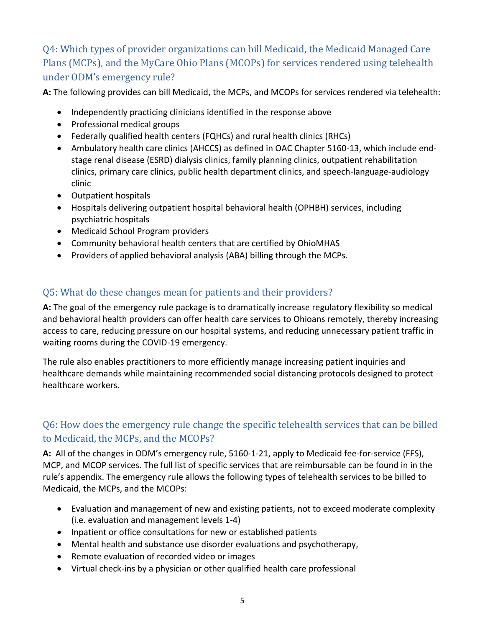# <span id="page-4-0"></span>Q4: Which types of provider organizations can bill Medicaid, the Medicaid Managed Care Plans (MCPs), and the MyCare Ohio Plans (MCOPs) for services rendered using telehealth under ODM's emergency rule?

**A:** The following provides can bill Medicaid, the MCPs, and MCOPs for services rendered via telehealth:

- Independently practicing clinicians identified in the response above
- Professional medical groups
- Federally qualified health centers (FQHCs) and rural health clinics (RHCs)
- Ambulatory health care clinics (AHCCS) as defined in OAC Chapter 5160-13, which include endstage renal disease (ESRD) dialysis clinics, family planning clinics, outpatient rehabilitation clinics, primary care clinics, public health department clinics, and speech-language-audiology clinic
- Outpatient hospitals
- Hospitals delivering outpatient hospital behavioral health (OPHBH) services, including psychiatric hospitals
- Medicaid School Program providers
- Community behavioral health centers that are certified by OhioMHAS
- Providers of applied behavioral analysis (ABA) billing through the MCPs.

#### <span id="page-4-1"></span>Q5: What do these changes mean for patients and their providers?

**A:** The goal of the emergency rule package is to dramatically increase regulatory flexibility so medical and behavioral health providers can offer health care services to Ohioans remotely, thereby increasing access to care, reducing pressure on our hospital systems, and reducing unnecessary patient traffic in waiting rooms during the COVID-19 emergency.

The rule also enables practitioners to more efficiently manage increasing patient inquiries and healthcare demands while maintaining recommended social distancing protocols designed to protect healthcare workers.

#### <span id="page-4-2"></span>Q6: How does the emergency rule change the specific telehealth services that can be billed to Medicaid, the MCPs, and the MCOPs?

**A:** All of the changes in ODM's emergency rule, 5160-1-21, apply to Medicaid fee-for-service (FFS), MCP, and MCOP services. The full list of specific services that are reimbursable can be found in in the rule's appendix. The emergency rule allows the following types of telehealth services to be billed to Medicaid, the MCPs, and the MCOPs:

- Evaluation and management of new and existing patients, not to exceed moderate complexity (i.e. evaluation and management levels 1-4)
- Inpatient or office consultations for new or established patients
- Mental health and substance use disorder evaluations and psychotherapy,
- Remote evaluation of recorded video or images
- Virtual check-ins by a physician or other qualified health care professional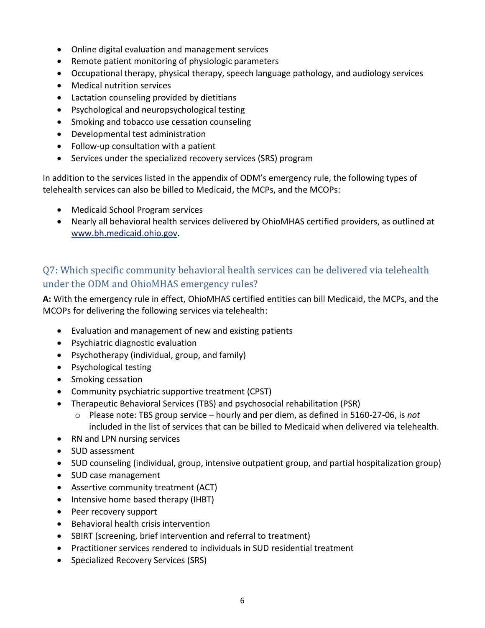- Online digital evaluation and management services
- Remote patient monitoring of physiologic parameters
- Occupational therapy, physical therapy, speech language pathology, and audiology services
- Medical nutrition services
- Lactation counseling provided by dietitians
- Psychological and neuropsychological testing
- Smoking and tobacco use cessation counseling
- Developmental test administration
- Follow-up consultation with a patient
- Services under the specialized recovery services (SRS) program

In addition to the services listed in the appendix of ODM's emergency rule, the following types of telehealth services can also be billed to Medicaid, the MCPs, and the MCOPs:

- Medicaid School Program services
- Nearly all behavioral health services delivered by OhioMHAS certified providers, as outlined at [www.bh.medicaid.ohio.gov.](http://www.bh.medicaid.ohio.gov/)

## <span id="page-5-0"></span>Q7: Which specific community behavioral health services can be delivered via telehealth under the ODM and OhioMHAS emergency rules?

**A:** With the emergency rule in effect, OhioMHAS certified entities can bill Medicaid, the MCPs, and the MCOPs for delivering the following services via telehealth:

- Evaluation and management of new and existing patients
- Psychiatric diagnostic evaluation
- Psychotherapy (individual, group, and family)
- Psychological testing
- Smoking cessation
- Community psychiatric supportive treatment (CPST)
- Therapeutic Behavioral Services (TBS) and psychosocial rehabilitation (PSR)
	- o Please note: TBS group service hourly and per diem, as defined in 5160-27-06, is *not*
		- included in the list of services that can be billed to Medicaid when delivered via telehealth.
- RN and LPN nursing services
- SUD assessment
- SUD counseling (individual, group, intensive outpatient group, and partial hospitalization group)
- SUD case management
- Assertive community treatment (ACT)
- Intensive home based therapy (IHBT)
- Peer recovery support
- Behavioral health crisis intervention
- SBIRT (screening, brief intervention and referral to treatment)
- Practitioner services rendered to individuals in SUD residential treatment
- Specialized Recovery Services (SRS)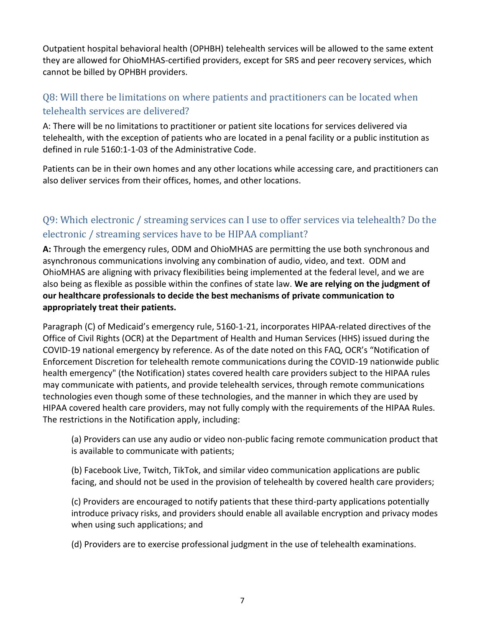Outpatient hospital behavioral health (OPHBH) telehealth services will be allowed to the same extent they are allowed for OhioMHAS-certified providers, except for SRS and peer recovery services, which cannot be billed by OPHBH providers.

# <span id="page-6-0"></span>Q8: Will there be limitations on where patients and practitioners can be located when telehealth services are delivered?

A: There will be no limitations to practitioner or patient site locations for services delivered via telehealth, with the exception of patients who are located in a penal facility or a public institution as defined in rule 5160:1-1-03 of the Administrative Code.

Patients can be in their own homes and any other locations while accessing care, and practitioners can also deliver services from their offices, homes, and other locations.

## <span id="page-6-1"></span>Q9: Which electronic / streaming services can I use to offer services via telehealth? Do the electronic / streaming services have to be HIPAA compliant?

**A:** Through the emergency rules, ODM and OhioMHAS are permitting the use both synchronous and asynchronous communications involving any combination of audio, video, and text. ODM and OhioMHAS are aligning with privacy flexibilities being implemented at the federal level, and we are also being as flexible as possible within the confines of state law. **We are relying on the judgment of our healthcare professionals to decide the best mechanisms of private communication to appropriately treat their patients.** 

Paragraph (C) of Medicaid's emergency rule, 5160-1-21, incorporates HIPAA-related directives of the Office of Civil Rights (OCR) at the Department of Health and Human Services (HHS) issued during the COVID-19 national emergency by reference. As of the date noted on this FAQ, OCR's "Notification of Enforcement Discretion for telehealth remote communications during the COVID-19 nationwide public health emergency" (the Notification) states covered health care providers subject to the HIPAA rules may communicate with patients, and provide telehealth services, through remote communications technologies even though some of these technologies, and the manner in which they are used by HIPAA covered health care providers, may not fully comply with the requirements of the HIPAA Rules. The restrictions in the Notification apply, including:

(a) Providers can use any audio or video non-public facing remote communication product that is available to communicate with patients;

(b) Facebook Live, Twitch, TikTok, and similar video communication applications are public facing, and should not be used in the provision of telehealth by covered health care providers;

(c) Providers are encouraged to notify patients that these third-party applications potentially introduce privacy risks, and providers should enable all available encryption and privacy modes when using such applications; and

(d) Providers are to exercise professional judgment in the use of telehealth examinations.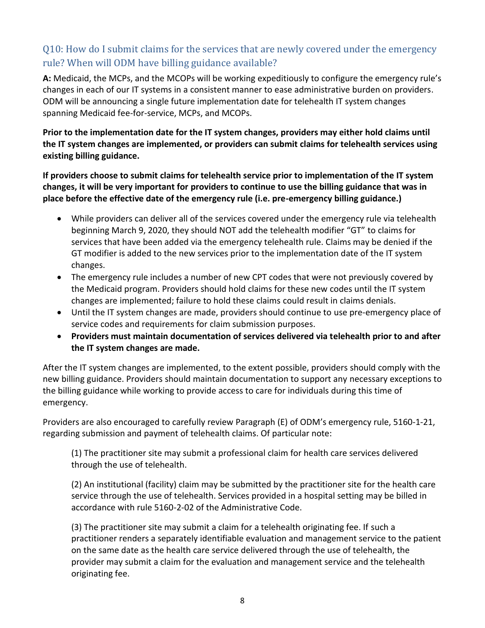# <span id="page-7-0"></span>Q10: How do I submit claims for the services that are newly covered under the emergency rule? When will ODM have billing guidance available?

**A:** Medicaid, the MCPs, and the MCOPs will be working expeditiously to configure the emergency rule's changes in each of our IT systems in a consistent manner to ease administrative burden on providers. ODM will be announcing a single future implementation date for telehealth IT system changes spanning Medicaid fee-for-service, MCPs, and MCOPs.

**Prior to the implementation date for the IT system changes, providers may either hold claims until the IT system changes are implemented, or providers can submit claims for telehealth services using existing billing guidance.** 

**If providers choose to submit claims for telehealth service prior to implementation of the IT system changes, it will be very important for providers to continue to use the billing guidance that was in place before the effective date of the emergency rule (i.e. pre-emergency billing guidance.)**

- While providers can deliver all of the services covered under the emergency rule via telehealth beginning March 9, 2020, they should NOT add the telehealth modifier "GT" to claims for services that have been added via the emergency telehealth rule. Claims may be denied if the GT modifier is added to the new services prior to the implementation date of the IT system changes.
- The emergency rule includes a number of new CPT codes that were not previously covered by the Medicaid program. Providers should hold claims for these new codes until the IT system changes are implemented; failure to hold these claims could result in claims denials.
- Until the IT system changes are made, providers should continue to use pre-emergency place of service codes and requirements for claim submission purposes.
- **Providers must maintain documentation of services delivered via telehealth prior to and after the IT system changes are made.**

After the IT system changes are implemented, to the extent possible, providers should comply with the new billing guidance. Providers should maintain documentation to support any necessary exceptions to the billing guidance while working to provide access to care for individuals during this time of emergency.

Providers are also encouraged to carefully review Paragraph (E) of ODM's emergency rule, 5160-1-21, regarding submission and payment of telehealth claims. Of particular note:

(1) The practitioner site may submit a professional claim for health care services delivered through the use of telehealth.

(2) An institutional (facility) claim may be submitted by the practitioner site for the health care service through the use of telehealth. Services provided in a hospital setting may be billed in accordance with rule 5160-2-02 of the Administrative Code.

(3) The practitioner site may submit a claim for a telehealth originating fee. If such a practitioner renders a separately identifiable evaluation and management service to the patient on the same date as the health care service delivered through the use of telehealth, the provider may submit a claim for the evaluation and management service and the telehealth originating fee.